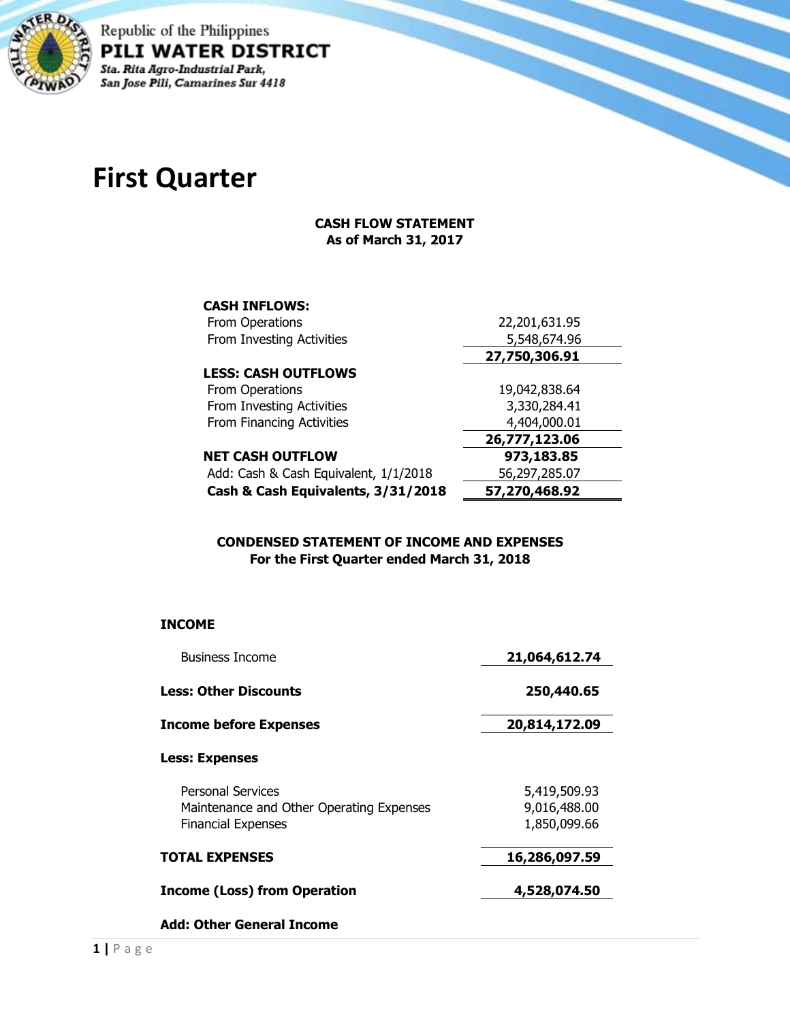

Republic of the Philippines PILI WATER DISTRICT Sta. Rita Agro-Industrial Park,<br>San Jose Pili, Camarines Sur 4418

## **First Quarter**

## **CASH FLOW STATEMENT As of March 31, 2017**

| <b>CASH INFLOWS:</b>                  |               |
|---------------------------------------|---------------|
| From Operations                       | 22,201,631.95 |
| From Investing Activities             | 5,548,674.96  |
|                                       | 27,750,306.91 |
| <b>LESS: CASH OUTFLOWS</b>            |               |
| From Operations                       | 19,042,838.64 |
| From Investing Activities             | 3,330,284.41  |
| From Financing Activities             | 4,404,000.01  |
|                                       | 26,777,123.06 |
| <b>NET CASH OUTFLOW</b>               | 973,183.85    |
| Add: Cash & Cash Equivalent, 1/1/2018 | 56,297,285.07 |
| Cash & Cash Equivalents, 3/31/2018    | 57,270,468.92 |
|                                       |               |

## **CONDENSED STATEMENT OF INCOME AND EXPENSES For the First Quarter ended March 31, 2018**

## **INCOME**

| <b>Business Income</b>                                               | 21,064,612.74                |
|----------------------------------------------------------------------|------------------------------|
| <b>Less: Other Discounts</b>                                         | 250,440.65                   |
| <b>Income before Expenses</b>                                        | 20,814,172.09                |
| <b>Less: Expenses</b>                                                |                              |
| <b>Personal Services</b><br>Maintenance and Other Operating Expenses | 5,419,509.93<br>9,016,488.00 |
| <b>Financial Expenses</b>                                            | 1,850,099.66                 |
| <b>TOTAL EXPENSES</b>                                                | 16,286,097.59                |
| <b>Income (Loss) from Operation</b>                                  | 4,528,074.50                 |
| <b>Add: Other General Income</b>                                     |                              |